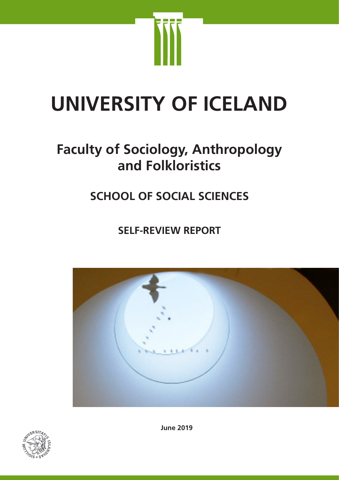

# **UNIVERSITY OF ICELAND**

## **Faculty of Sociology, Anthropology and Folkloristics**

## **SCHOOL OF SOCIAL SCIENCES**

**SELF-REVIEW REPORT**





**June 2019**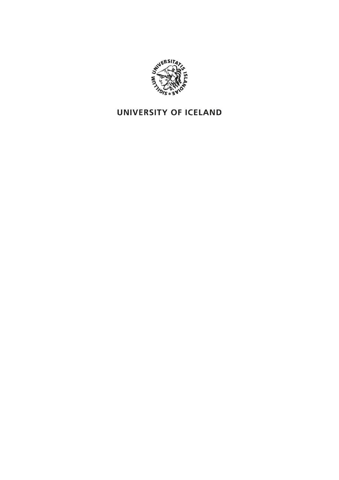

## **UNIVERSITY OF ICELAND**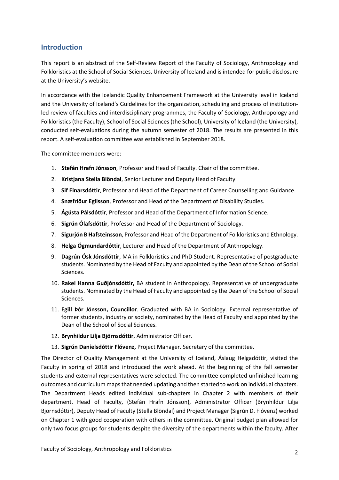#### **Introduction**

This report is an abstract of the Self-Review Report of the Faculty of Sociology, Anthropology and Folkloristics at the School of Social Sciences, University of Iceland and is intended for public disclosure at the University's website.

In accordance with the Icelandic Quality Enhancement Framework at the University level in Iceland and the University of Iceland's Guidelines for the organization, scheduling and process of institutionled review of faculties and interdisciplinary programmes, the Faculty of Sociology, Anthropology and Folkloristics (the Faculty), School of Social Sciences (the School), University of Iceland (the University), conducted self-evaluations during the autumn semester of 2018. The results are presented in this report. A self-evaluation committee was established in September 2018.

The committee members were:

- 1. **Stefán Hrafn Jónsson**, Professor and Head of Faculty. Chair of the committee.
- 2. **Kristjana Stella Blöndal**, Senior Lecturer and Deputy Head of Faculty.
- 3. **Sif Einarsdóttir**, Professor and Head of the Department of Career Counselling and Guidance.
- 4. **Snæfríður Egilsson**, Professor and Head of the Department of Disability Studies.
- 5. **Ágústa Pálsdóttir**, Professor and Head of the Department of Information Science.
- 6. **Sigrún Ólafsdóttir**, Professor and Head of the Department of Sociology.
- 7. **Sigurjón B Hafsteinsson**, Professor and Head of the Department of Folkloristics and Ethnology.
- 8. **Helga Ögmundardóttir**, Lecturer and Head of the Department of Anthropology.
- 9. **Dagrún Ósk Jónsdóttir**, MA in Folkloristics and PhD Student. Representative of postgraduate students. Nominated by the Head of Faculty and appointed by the Dean of the School of Social Sciences.
- 10. **Rakel Hanna Guðjónsdóttir,** BA student in Anthropology. Representative of undergraduate students. Nominated by the Head of Faculty and appointed by the Dean of the School of Social Sciences.
- 11. **Egill Þór Jónsson, Councillor**. Graduated with BA in Sociology. External representative of former students, industry or society, nominated by the Head of Faculty and appointed by the Dean of the School of Social Sciences.
- 12. **Brynhildur Lilja Björnsdóttir**, Administrator Officer.
- 13. **Sigrún Daníelsdóttir Flóvenz,** Project Manager. Secretary of the committee.

The Director of Quality Management at the University of Iceland, Áslaug Helgadóttir, visited the Faculty in spring of 2018 and introduced the work ahead. At the beginning of the fall semester students and external representatives were selected. The committee completed unfinished learning outcomes and curriculum maps that needed updating and then started to work on individual chapters. The Department Heads edited individual sub-chapters in Chapter 2 with members of their department. Head of Faculty, (Stefán Hrafn Jónsson), Administrator Officer (Brynhildur Lilja Björnsdóttir), Deputy Head of Faculty (Stella Blöndal) and Project Manager (Sigrún D. Flóvenz) worked on Chapter 1 with good cooperation with others in the committee. Original budget plan allowed for only two focus groups for students despite the diversity of the departments within the faculty. After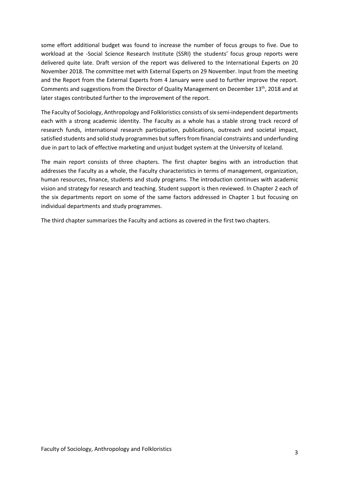some effort additional budget was found to increase the number of focus groups to five. Due to workload at the -Social Science Research Institute (SSRI) the students' focus group reports were delivered quite late. Draft version of the report was delivered to the International Experts on 20 November 2018. The committee met with External Experts on 29 November. Input from the meeting and the Report from the External Experts from 4 January were used to further improve the report. Comments and suggestions from the Director of Quality Management on December  $13<sup>th</sup>$ , 2018 and at later stages contributed further to the improvement of the report.

The Faculty of Sociology, Anthropology and Folkloristics consists of six semi-independent departments each with a strong academic identity. The Faculty as a whole has a stable strong track record of research funds, international research participation, publications, outreach and societal impact, satisfied students and solid study programmes but suffers from financial constraints and underfunding due in part to lack of effective marketing and unjust budget system at the University of Iceland.

The main report consists of three chapters. The first chapter begins with an introduction that addresses the Faculty as a whole, the Faculty characteristics in terms of management, organization, human resources, finance, students and study programs. The introduction continues with academic vision and strategy for research and teaching. Student support is then reviewed. In Chapter 2 each of the six departments report on some of the same factors addressed in Chapter 1 but focusing on individual departments and study programmes.

The third chapter summarizes the Faculty and actions as covered in the first two chapters.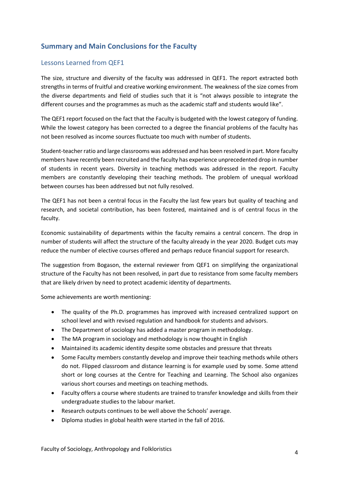## **Summary and Main Conclusions for the Faculty**

#### Lessons Learned from QEF1

The size, structure and diversity of the faculty was addressed in QEF1. The report extracted both strengths in terms of fruitful and creative working environment. The weakness of the size comes from the diverse departments and field of studies such that it is "not always possible to integrate the different courses and the programmes as much as the academic staff and students would like".

The QEF1 report focused on the fact that the Faculty is budgeted with the lowest category of funding. While the lowest category has been corrected to a degree the financial problems of the faculty has not been resolved as income sources fluctuate too much with number of students.

Student-teacher ratio and large classrooms was addressed and has been resolved in part. More faculty members have recently been recruited and the faculty has experience unprecedented drop in number of students in recent years. Diversity in teaching methods was addressed in the report. Faculty members are constantly developing their teaching methods. The problem of unequal workload between courses has been addressed but not fully resolved.

The QEF1 has not been a central focus in the Faculty the last few years but quality of teaching and research, and societal contribution, has been fostered, maintained and is of central focus in the faculty.

Economic sustainability of departments within the faculty remains a central concern. The drop in number of students will affect the structure of the faculty already in the year 2020. Budget cuts may reduce the number of elective courses offered and perhaps reduce financial support for research.

The suggestion from Bogason, the external reviewer from QEF1 on simplifying the organizational structure of the Faculty has not been resolved, in part due to resistance from some faculty members that are likely driven by need to protect academic identity of departments.

Some achievements are worth mentioning:

- The quality of the Ph.D. programmes has improved with increased centralized support on school level and with revised regulation and handbook for students and advisors.
- The Department of sociology has added a master program in methodology.
- The MA program in sociology and methodology is now thought in English
- Maintained its academic identity despite some obstacles and pressure that threats
- Some Faculty members constantly develop and improve their teaching methods while others do not. Flipped classroom and distance learning is for example used by some. Some attend short or long courses at the Centre for Teaching and Learning. The School also organizes various short courses and meetings on teaching methods.
- Faculty offers a course where students are trained to transfer knowledge and skills from their undergraduate studies to the labour market.
- Research outputs continues to be well above the Schools' average.
- Diploma studies in global health were started in the fall of 2016.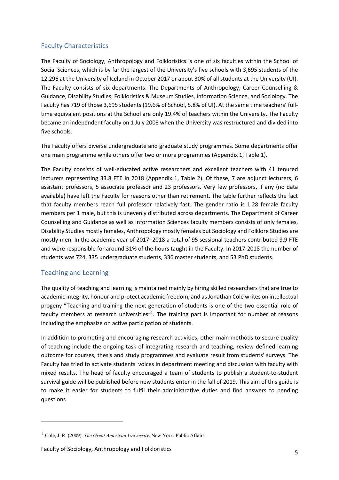#### Faculty Characteristics

The Faculty of Sociology, Anthropology and Folkloristics is one of six faculties within the School of Social Sciences, which is by far the largest of the University's five schools with 3,695 students of the 12,296 at the University of Iceland in October 2017 or about 30% of all students at the University (UI). The Faculty consists of six departments: The Departments of Anthropology, Career Counselling & Guidance, Disability Studies, Folkloristics & Museum Studies, Information Science, and Sociology. The Faculty has 719 of those 3,695 students (19.6% of School, 5.8% of UI). At the same time teachers' fulltime equivalent positions at the School are only 19.4% of teachers within the University. The Faculty became an independent faculty on 1 July 2008 when the University was restructured and divided into five schools.

The Faculty offers diverse undergraduate and graduate study programmes. Some departments offer one main programme while others offer two or more programmes (Appendix 1, Table 1).

The Faculty consists of well-educated active researchers and excellent teachers with 41 tenured lecturers representing 33.8 FTE in 2018 (Appendix 1, Table 2). Of these, 7 are adjunct lecturers, 6 assistant professors, 5 associate professor and 23 professors. Very few professors, if any (no data available) have left the Faculty for reasons other than retirement. The table further reflects the fact that faculty members reach full professor relatively fast. The gender ratio is 1.28 female faculty members per 1 male, but this is unevenly distributed across departments. The Department of Career Counselling and Guidance as well as Information Sciences faculty members consists of only females, Disability Studies mostly females, Anthropology mostly females but Sociology and Folklore Studies are mostly men. In the academic year of 2017–2018 a total of 95 sessional teachers contributed 9.9 FTE and were responsible for around 31% of the hours taught in the Faculty. In 2017-2018 the number of students was 724, 335 undergraduate students, 336 master students, and 53 PhD students.

#### Teaching and Learning

l

The quality of teaching and learning is maintained mainly by hiring skilled researchers that are true to academic integrity, honour and protect academic freedom, and as Jonathan Cole writes on intellectual progeny "Teaching and training the next generation of students is one of the two essential role of faculty members at research universities"<sup>1</sup>. The training part is important for number of reasons including the emphasize on active participation of students.

In addition to promoting and encouraging research activities, other main methods to secure quality of teaching include the ongoing task of integrating research and teaching, review defined learning outcome for courses, thesis and study programmes and evaluate result from students' surveys. The Faculty has tried to activate students' voices in department meeting and discussion with faculty with mixed results. The head of faculty encouraged a team of students to publish a student-to-student survival guide will be published before new students enter in the fall of 2019. This aim of this guide is to make it easier for students to fulfil their administrative duties and find answers to pending questions

<sup>1</sup> Cole, J. R. (2009). *The Great American University*. New York: Public Affairs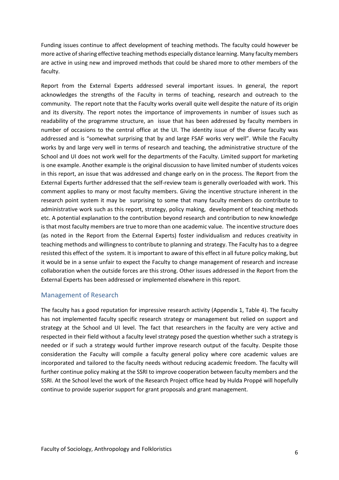Funding issues continue to affect development of teaching methods. The faculty could however be more active of sharing effective teaching methods especially distance learning. Many faculty members are active in using new and improved methods that could be shared more to other members of the faculty.

Report from the External Experts addressed several important issues. In general, the report acknowledges the strengths of the Faculty in terms of teaching, research and outreach to the community. The report note that the Faculty works overall quite well despite the nature of its origin and its diversity. The report notes the importance of improvements in number of issues such as readability of the programme structure, an issue that has been addressed by faculty members in number of occasions to the central office at the UI. The identity issue of the diverse faculty was addressed and is "somewhat surprising that by and large FSAF works very well". While the Faculty works by and large very well in terms of research and teaching, the administrative structure of the School and UI does not work well for the departments of the Faculty. Limited support for marketing is one example. Another example is the original discussion to have limited number of students voices in this report, an issue that was addressed and change early on in the process. The Report from the External Experts further addressed that the self-review team is generally overloaded with work. This comment applies to many or most faculty members. Giving the incentive structure inherent in the research point system it may be surprising to some that many faculty members do contribute to administrative work such as this report, strategy, policy making, development of teaching methods etc. A potential explanation to the contribution beyond research and contribution to new knowledge is that most faculty members are true to more than one academic value. The incentive structure does (as noted in the Report from the External Experts) foster individualism and reduces creativity in teaching methods and willingness to contribute to planning and strategy. The Faculty has to a degree resisted this effect of the system. It is important to aware of this effect in all future policy making, but it would be in a sense unfair to expect the Faculty to change management of research and increase collaboration when the outside forces are this strong. Other issues addressed in the Report from the External Experts has been addressed or implemented elsewhere in this report.

#### Management of Research

The faculty has a good reputation for impressive research activity (Appendix 1, Table 4). The faculty has not implemented faculty specific research strategy or management but relied on support and strategy at the School and UI level. The fact that researchers in the faculty are very active and respected in their field without a faculty level strategy posed the question whether such a strategy is needed or if such a strategy would further improve research output of the faculty. Despite those consideration the Faculty will compile a faculty general policy where core academic values are incorporated and tailored to the faculty needs without reducing academic freedom. The faculty will further continue policy making at the SSRI to improve cooperation between faculty members and the SSRI. At the School level the work of the Research Project office head by Hulda Proppé will hopefully continue to provide superior support for grant proposals and grant management.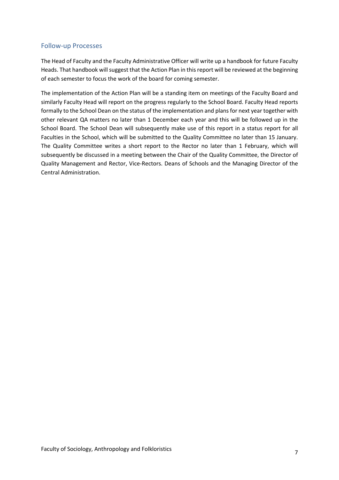#### Follow-up Processes

The Head of Faculty and the Faculty Administrative Officer will write up a handbook for future Faculty Heads. That handbook will suggest that the Action Plan in this report will be reviewed at the beginning of each semester to focus the work of the board for coming semester.

The implementation of the Action Plan will be a standing item on meetings of the Faculty Board and similarly Faculty Head will report on the progress regularly to the School Board. Faculty Head reports formally to the School Dean on the status of the implementation and plans for next year together with other relevant QA matters no later than 1 December each year and this will be followed up in the School Board. The School Dean will subsequently make use of this report in a status report for all Faculties in the School, which will be submitted to the Quality Committee no later than 15 January. The Quality Committee writes a short report to the Rector no later than 1 February, which will subsequently be discussed in a meeting between the Chair of the Quality Committee, the Director of Quality Management and Rector, Vice-Rectors. Deans of Schools and the Managing Director of the Central Administration.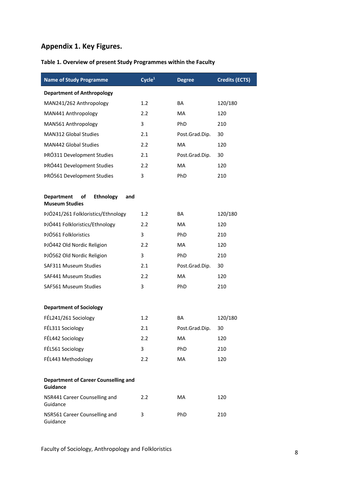## **Appendix 1. Key Figures.**

## **Table 1. Overview of present Study Programmes within the Faculty**

| <b>Name of Study Programme</b>                                | Cycle <sup>1</sup> | <b>Degree</b>  | <b>Credits (ECTS)</b> |
|---------------------------------------------------------------|--------------------|----------------|-----------------------|
| <b>Department of Anthropology</b>                             |                    |                |                       |
| MAN241/262 Anthropology                                       | 1.2                | BA             | 120/180               |
| MAN441 Anthropology                                           | 2.2                | <b>MA</b>      | 120                   |
| MAN561 Anthropology                                           | 3                  | PhD            | 210                   |
| MAN312 Global Studies                                         | 2.1                | Post.Grad.Dip. | 30                    |
| <b>MAN442 Global Studies</b>                                  | 2.2                | <b>MA</b>      | 120                   |
| <b>PRÓ311 Development Studies</b>                             | 2.1                | Post.Grad.Dip. | 30                    |
| <b>PRÓ441 Development Studies</b>                             | 2.2                | <b>MA</b>      | 120                   |
| <b>PRÓ561 Development Studies</b>                             | 3                  | PhD            | 210                   |
| <b>Ethnology</b><br><b>Department</b><br>оf<br>and            |                    |                |                       |
| <b>Museum Studies</b>                                         |                    |                |                       |
| PJÓ241/261 Folkloristics/Ethnology                            | 1.2                | <b>BA</b>      | 120/180               |
| ÞJÓ441 Folkloristics/Ethnology<br><b>ÞJÓ561 Folkloristics</b> | 2.2                | MA             | 120                   |
|                                                               | 3                  | PhD            | 210                   |
| ÞJÓ442 Old Nordic Religion                                    | 2.2                | <b>MA</b>      | 120                   |
| ÞJÓ562 Old Nordic Religion                                    | 3                  | PhD            | 210                   |
| SAF311 Museum Studies                                         | 2.1                | Post.Grad.Dip. | 30                    |
| SAF441 Museum Studies                                         | 2.2                | <b>MA</b>      | 120                   |
| SAF561 Museum Studies                                         | 3                  | PhD            | 210                   |
| <b>Department of Sociology</b>                                |                    |                |                       |
| FÉL241/261 Sociology                                          | 1.2                | <b>BA</b>      | 120/180               |
| FÉL311 Sociology                                              | 2.1                | Post.Grad.Dip. | 30                    |
| FÉL442 Sociology                                              | 2.2                | МA             | 120                   |
| FÉL561 Sociology                                              | 3                  | PhD            | 210                   |
| FÉL443 Methodology                                            | 2.2                | MA             | 120                   |
|                                                               |                    |                |                       |
| <b>Department of Career Counselling and</b><br>Guidance       |                    |                |                       |
| NSR441 Career Counselling and<br>Guidance                     | 2.2                | МA             | 120                   |
| NSR561 Career Counselling and<br>Guidance                     | 3                  | PhD            | 210                   |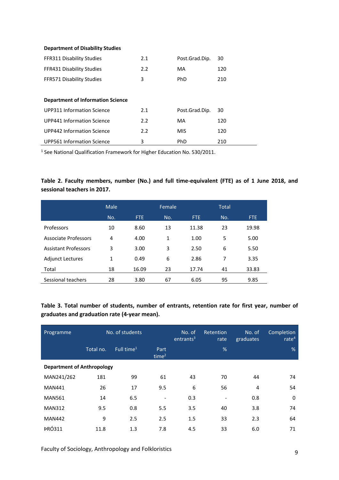#### **Department of Disability Studies**

| <b>FFR311 Disability Studies</b>         | 2.1 | Post.Grad.Dip. | 30  |
|------------------------------------------|-----|----------------|-----|
| FFR431 Disability Studies                | 2.2 | MA             | 120 |
| <b>FFR571 Disability Studies</b>         | 3   | <b>PhD</b>     | 210 |
|                                          |     |                |     |
| <b>Department of Information Science</b> |     |                |     |
| <b>UPP311 Information Science</b>        | 2.1 | Post.Grad.Dip. | 30  |
| UPP441 Information Science               | 2.2 | MA             | 120 |
| UPP442 Information Science               | 2.2 | <b>MIS</b>     | 120 |
| UPP561 Information Science               | 3   | PhD            | 210 |

<sup>1</sup> See National Qualification Framework for Higher Education No. 530/2011.

#### **Table 2. Faculty members, number (No.) and full time-equivalent (FTE) as of 1 June 2018, and sessional teachers in 2017.**

|                             | Male         |       | Female |            | <b>Total</b> |       |
|-----------------------------|--------------|-------|--------|------------|--------------|-------|
|                             | No.          | FTE.  | No.    | <b>FTE</b> | No.          | FTE.  |
| Professors                  | 10           | 8.60  | 13     | 11.38      | 23           | 19.98 |
| Associate Professors        | 4            | 4.00  | 1      | 1.00       | 5            | 5.00  |
| <b>Assistant Professors</b> | 3            | 3.00  | 3      | 2.50       | 6            | 5.50  |
| <b>Adjunct Lectures</b>     | $\mathbf{1}$ | 0.49  | 6      | 2.86       | 7            | 3.35  |
| Total                       | 18           | 16.09 | 23     | 17.74      | 41           | 33.83 |
| Sessional teachers          | 28           | 3.80  | 67     | 6.05       | 95           | 9.85  |

#### **Table 3. Total number of students, number of entrants, retention rate for first year, number of graduates and graduation rate (4-year mean).**

| Programme                         | No. of students |                        | No. of<br>entrants <sup>3</sup> | Retention<br>rate | No. of<br>graduates      | <b>Completion</b><br>rate $4$ |          |  |
|-----------------------------------|-----------------|------------------------|---------------------------------|-------------------|--------------------------|-------------------------------|----------|--|
|                                   | Total no.       | Full time <sup>1</sup> | Part<br>time <sup>2</sup>       |                   | %                        |                               | %        |  |
| <b>Department of Anthropology</b> |                 |                        |                                 |                   |                          |                               |          |  |
| MAN241/262                        | 181             | 99                     | 61                              | 43                | 70                       | 44                            | 74       |  |
| <b>MAN441</b>                     | 26              | 17                     | 9.5                             | 6                 | 56                       | 4                             | 54       |  |
| <b>MAN561</b>                     | 14              | 6.5                    | $\qquad \qquad \blacksquare$    | 0.3               | $\overline{\phantom{a}}$ | 0.8                           | $\Omega$ |  |
| <b>MAN312</b>                     | 9.5             | 0.8                    | 5.5                             | 3.5               | 40                       | 3.8                           | 74       |  |
| <b>MAN442</b>                     | 9               | 2.5                    | 2.5                             | 1.5               | 33                       | 2.3                           | 64       |  |
| <b>PRÓ311</b>                     | 11.8            | 1.3                    | 7.8                             | 4.5               | 33                       | 6.0                           | 71       |  |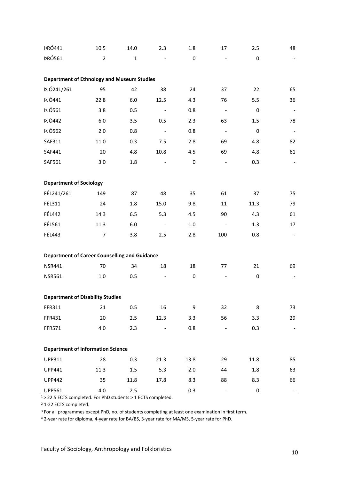| <b>PRÓ441</b>                                        | 10.5           | 14.0         | 2.3                      | 1.8         | 17                       | 2.5       | 48             |
|------------------------------------------------------|----------------|--------------|--------------------------|-------------|--------------------------|-----------|----------------|
| <b>PRÓ561</b>                                        | $\overline{2}$ | $\mathbf{1}$ |                          | $\mathsf 0$ |                          | $\pmb{0}$ |                |
|                                                      |                |              |                          |             |                          |           |                |
| <b>Department of Ethnology and Museum Studies</b>    |                |              |                          |             |                          |           |                |
| <b>ÞJÓ241/261</b>                                    | 95             | 42           | 38                       | 24          | 37                       | 22        | 65             |
| <b>ÞJÓ441</b>                                        | 22.8           | $6.0$        | 12.5                     | 4.3         | 76                       | 5.5       | 36             |
| <b>ÞJÓ561</b>                                        | 3.8            | 0.5          |                          | 0.8         | $\blacksquare$           | $\pmb{0}$ | $\blacksquare$ |
| <b>ÞJÓ442</b>                                        | $6.0\,$        | 3.5          | 0.5                      | 2.3         | 63                       | 1.5       | 78             |
| <b>ÞJÓ562</b>                                        | 2.0            | 0.8          | $\blacksquare$           | 0.8         | $\overline{\phantom{a}}$ | $\pmb{0}$ | $\blacksquare$ |
| SAF311                                               | 11.0           | 0.3          | 7.5                      | 2.8         | 69                       | 4.8       | 82             |
| SAF441                                               | 20             | 4.8          | 10.8                     | 4.5         | 69                       | 4.8       | 61             |
| SAF561                                               | 3.0            | 1.8          |                          | $\pmb{0}$   | $\overline{\phantom{a}}$ | 0.3       | $\blacksquare$ |
|                                                      |                |              |                          |             |                          |           |                |
| <b>Department of Sociology</b>                       |                |              |                          |             |                          |           |                |
| FÉL241/261                                           | 149            | 87           | 48                       | 35          | 61                       | 37        | 75             |
| FÉL311                                               | 24             | 1.8          | 15.0                     | 9.8         | 11                       | 11.3      | 79             |
| <b>FÉL442</b>                                        | 14.3           | 6.5          | 5.3                      | 4.5         | 90                       | 4.3       | 61             |
| <b>FÉL561</b>                                        | 11.3           | $6.0\,$      |                          | $1.0\,$     |                          | 1.3       | 17             |
| <b>FÉL443</b>                                        | 7              | 3.8          | 2.5                      | 2.8         | 100                      | 0.8       |                |
|                                                      |                |              |                          |             |                          |           |                |
| <b>Department of Career Counselling and Guidance</b> |                |              |                          |             |                          |           |                |
| <b>NSR441</b>                                        | 70             | 34           | 18                       | 18          | 77                       | 21        | 69             |
| <b>NSR561</b>                                        | $1.0\,$        | 0.5          | $\overline{\phantom{a}}$ | 0           | $\overline{\phantom{a}}$ | $\pmb{0}$ |                |
|                                                      |                |              |                          |             |                          |           |                |
| <b>Department of Disability Studies</b>              |                |              |                          |             |                          |           |                |
| FFR311                                               | 21             | 0.5          | 16                       | 9           | 32                       | 8         | 73             |
| FFR431                                               | 20             | 2.5          | 12.3                     | 3.3         | 56                       | 3.3       | 29             |
| FFR571                                               | 4.0            | 2.3          |                          | 0.8         |                          | 0.3       |                |
|                                                      |                |              |                          |             |                          |           |                |
| <b>Department of Information Science</b>             |                |              |                          |             |                          |           |                |
| <b>UPP311</b>                                        | 28             | 0.3          | 21.3                     | 13.8        | 29                       | 11.8      | 85             |
| <b>UPP441</b>                                        | 11.3           | $1.5\,$      | 5.3                      | 2.0         | 44                       | 1.8       | 63             |
| <b>UPP442</b>                                        | 35             | 11.8         | 17.8                     | 8.3         | 88                       | 8.3       | 66             |
| <b>UPP561</b>                                        | 4.0            | 2.5          |                          | 0.3         |                          | 0         |                |

 $1$  > 22.5 ECTS completed. For PhD students > 1 ECTS completed.

<sup>2</sup> 1-22 ECTS completed.

<sup>3</sup> For all programmes except PhD, no. of students completing at least one examination in first term.

<sup>4</sup> 2-year rate for diploma, 4-year rate for BA/BS, 3-year rate for MA/MS, 5-year rate for PhD.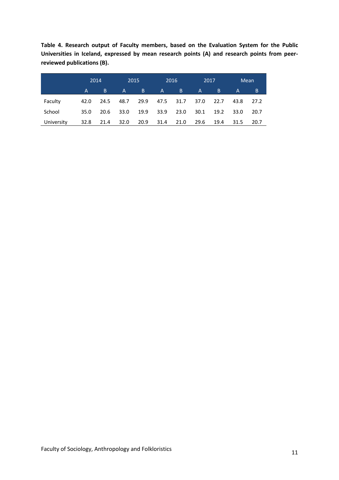**Table 4. Research output of Faculty members, based on the Evaluation System for the Public Universities in Iceland, expressed by mean research points (A) and research points from peerreviewed publications (B).**

|            | 2014 |      | 2015         |      |              | 2016 | 2017         |      | Mean         |      |
|------------|------|------|--------------|------|--------------|------|--------------|------|--------------|------|
|            | A.   | B    | $\mathsf{A}$ | B.   | $\mathsf{A}$ | B    | $\mathsf{A}$ | B.   | $\mathsf{A}$ | B.   |
| Faculty    | 42.0 | 24.5 | 48.7         | 29.9 | 47.5         | 31.7 | 37.0         | 22.7 | 43.8         | 27.2 |
| School     | 35.0 | 20.6 | 33.0         | 19.9 | 33.9         | 23.0 | 30.1         | 19.2 | 33.0         | 20.7 |
| University | 32.8 | 21.4 | 32.0         | 20.9 | 31.4         | 21.0 | 29.6         | 19.4 | 31.5         | 20.7 |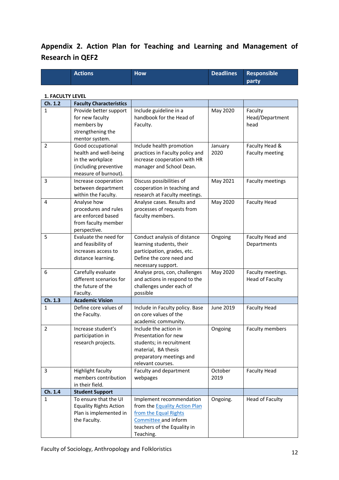## **Appendix 2. Action Plan for Teaching and Learning and Management of Research in QEF2**

| Actions | <b>How</b> | Deadlines Responsible |
|---------|------------|-----------------------|
|         |            | party                 |

#### **1. FACULTY LEVEL**

| Ch. 1.2        | <b>Faculty Characteristics</b>             |                                                             |                 |                                   |
|----------------|--------------------------------------------|-------------------------------------------------------------|-----------------|-----------------------------------|
| $\mathbf{1}$   | Provide better support                     | Include guideline in a                                      | May 2020        | Faculty                           |
|                | for new faculty                            | handbook for the Head of                                    |                 | Head/Department                   |
|                | members by                                 | Faculty.                                                    |                 | head                              |
|                | strengthening the                          |                                                             |                 |                                   |
|                | mentor system.                             |                                                             |                 |                                   |
| 2              | Good occupational<br>health and well-being | Include health promotion<br>practices in Faculty policy and | January<br>2020 | Faculty Head &<br>Faculty meeting |
|                | in the workplace                           | increase cooperation with HR                                |                 |                                   |
|                | (including preventive                      | manager and School Dean.                                    |                 |                                   |
|                | measure of burnout).                       |                                                             |                 |                                   |
| 3              | Increase cooperation                       | Discuss possibilities of                                    | May 2021        | Faculty meetings                  |
|                | between department                         | cooperation in teaching and                                 |                 |                                   |
|                | within the Faculty.                        | research at Faculty meetings.                               |                 |                                   |
| 4              | Analyse how                                | Analyse cases. Results and                                  | May 2020        | <b>Faculty Head</b>               |
|                | procedures and rules                       | processes of requests from                                  |                 |                                   |
|                | are enforced based                         | faculty members.                                            |                 |                                   |
|                | from faculty member                        |                                                             |                 |                                   |
|                | perspective.                               |                                                             |                 |                                   |
| 5              | Evaluate the need for                      | Conduct analysis of distance                                | Ongoing         | Faculty Head and                  |
|                | and feasibility of                         | learning students, their                                    |                 | Departments                       |
|                | increases access to<br>distance learning.  | participation, grades, etc.<br>Define the core need and     |                 |                                   |
|                |                                            | necessary support.                                          |                 |                                   |
| 6              | Carefully evaluate                         | Analyse pros, con, challenges                               | May 2020        | Faculty meetings.                 |
|                | different scenarios for                    | and actions in respond to the                               |                 | <b>Head of Faculty</b>            |
|                | the future of the                          | challenges under each of                                    |                 |                                   |
|                | Faculty.                                   | possible                                                    |                 |                                   |
| Ch. 1.3        | <b>Academic Vision</b>                     |                                                             |                 |                                   |
| 1              | Define core values of                      | Include in Faculty policy. Base                             | June 2019       | <b>Faculty Head</b>               |
|                | the Faculty.                               | on core values of the                                       |                 |                                   |
|                |                                            | academic community.                                         |                 |                                   |
| $\overline{2}$ | Increase student's                         | Include the action in                                       | Ongoing         | Faculty members                   |
|                | participation in                           | Presentation for new                                        |                 |                                   |
|                | research projects.                         | students; in recruitment<br>material, BA thesis             |                 |                                   |
|                |                                            | preparatory meetings and                                    |                 |                                   |
|                |                                            | relevant courses.                                           |                 |                                   |
| 3              | <b>Highlight faculty</b>                   | Faculty and department                                      | October         | <b>Faculty Head</b>               |
|                | members contribution                       | webpages                                                    | 2019            |                                   |
|                | in their field.                            |                                                             |                 |                                   |
| Ch. 1.4        | <b>Student Support</b>                     |                                                             |                 |                                   |
| $\mathbf{1}$   | To ensure that the UI                      | Implement recommendation                                    | Ongoing.        | <b>Head of Faculty</b>            |
|                | <b>Equality Rights Action</b>              | from the Equality Action Plan                               |                 |                                   |
|                | Plan is implemented in                     | from the Equal Rights                                       |                 |                                   |
|                | the Faculty.                               | Committee and inform                                        |                 |                                   |
|                |                                            | teachers of the Equality in                                 |                 |                                   |
|                |                                            | Teaching.                                                   |                 |                                   |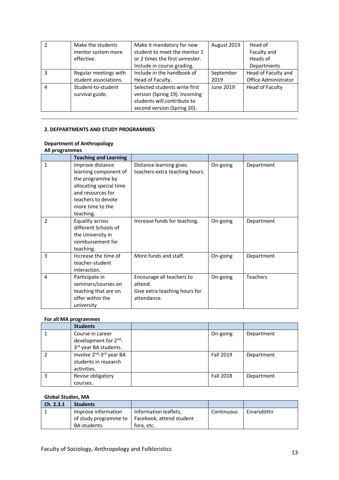| $\mathcal{P}$ | Make the students                     | Make it mandatory for new                                                                                                    | August 2019 | Head of                     |
|---------------|---------------------------------------|------------------------------------------------------------------------------------------------------------------------------|-------------|-----------------------------|
|               | mentor system more                    | student to meet the mentor 1                                                                                                 |             | Faculty and                 |
|               | effective.                            | or 2 times the first semester.                                                                                               |             | Heads of                    |
|               |                                       | Include in course grading.                                                                                                   |             | Departments                 |
| 3             | Regular meetings with                 | Include in the handbook of                                                                                                   | September   | Head of Faculty and         |
|               | student associations.                 | Head of Faculty.                                                                                                             | 2019        | <b>Office Administrator</b> |
| 4             | Student-to-student<br>survival guide. | Selected students write first<br>version (Spring 19). Incoming<br>students will contribute to<br>second version (Spring 20). | June 2019   | <b>Head of Faculty</b>      |

#### **2. DEFPARTMENTS AND STUDY PROGRAMMES**

#### **Department of Anthropology All programmes**

| יס~יין …       | <b>Teaching and Learning</b>                                                                                                                                         |                                                                                      |          |                 |
|----------------|----------------------------------------------------------------------------------------------------------------------------------------------------------------------|--------------------------------------------------------------------------------------|----------|-----------------|
| $\mathbf{1}$   | Improve distance<br>learning component of<br>the programme by<br>allocating special time<br>and resources for<br>teachers to devote<br>more time to the<br>teaching. | Distance learning gives<br>teachers extra teaching hours.                            | On-going | Department      |
| $\overline{2}$ | <b>Equality across</b><br>different Schools of<br>the University in<br>reimbursement for<br>teaching.                                                                | Increase funds for teaching.                                                         | On-going | Department      |
| 3              | Increase the time of<br>teacher-student<br>interaction.                                                                                                              | More funds and staff.                                                                | On-going | Department      |
| 4              | Participate in<br>seminars/courses on<br>teaching that are on<br>offer within the<br>university                                                                      | Encourage all teachers to<br>attend.<br>Give extra teaching hours for<br>attendance. | On-going | <b>Teachers</b> |

#### **For all MA programmes**

| <b>Students</b>                                  |                  |            |
|--------------------------------------------------|------------------|------------|
| Course in career                                 | On-going         | Department |
| development for 2 <sup>nd</sup> -                |                  |            |
| 3rd year BA students.                            |                  |            |
| Involve 2 <sup>nd</sup> -3 <sup>rd</sup> year BA | <b>Fall 2019</b> | Department |
| students in research                             |                  |            |
| activities.                                      |                  |            |
| Revise obligatory                                | <b>Fall 2018</b> | Department |
| courses.                                         |                  |            |

#### **Global Studies, MA**

| Ch. 2.3.1 | <b>Students</b>       |                          |            |              |
|-----------|-----------------------|--------------------------|------------|--------------|
|           | Improve information   | Information leaflets,    | Continuous | Einarsdóttir |
|           | of study programme to | Facebook, attend student |            |              |
|           | BA-students.          | fora. etc.               |            |              |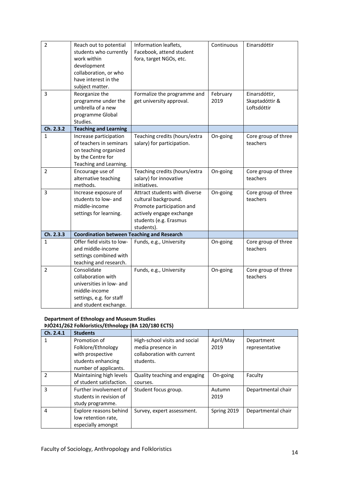| $\overline{2}$ | Reach out to potential<br>students who currently<br>work within<br>development<br>collaboration, or who<br>have interest in the<br>subject matter. | Information leaflets,<br>Facebook, attend student<br>fora, target NGOs, etc.                                                                           | Continuous       | Einarsdóttir                                   |
|----------------|----------------------------------------------------------------------------------------------------------------------------------------------------|--------------------------------------------------------------------------------------------------------------------------------------------------------|------------------|------------------------------------------------|
| 3              | Reorganize the<br>programme under the<br>umbrella of a new<br>programme Global<br>Studies.                                                         | Formalize the programme and<br>get university approval.                                                                                                | February<br>2019 | Einarsdóttir,<br>Skaptadóttir &<br>Loftsdóttir |
| Ch. 2.3.2      | <b>Teaching and Learning</b>                                                                                                                       |                                                                                                                                                        |                  |                                                |
| 1              | Increase participation<br>of teachers in seminars<br>on teaching organized<br>by the Centre for<br>Teaching and Learning.                          | Teaching credits (hours/extra<br>salary) for participation.                                                                                            | On-going         | Core group of three<br>teachers                |
| $\overline{2}$ | Encourage use of<br>alternative teaching<br>methods.                                                                                               | Teaching credits (hours/extra<br>salary) for innovative<br>initiatives.                                                                                | On-going         | Core group of three<br>teachers                |
| 3              | Increase exposure of<br>students to low- and<br>middle-income<br>settings for learning.                                                            | Attract students with diverse<br>cultural background.<br>Promote participation and<br>actively engage exchange<br>students (e.g. Erasmus<br>students). | On-going         | Core group of three<br>teachers                |
| Ch. 2.3.3      | <b>Coordination between Teaching and Research</b>                                                                                                  |                                                                                                                                                        |                  |                                                |
| $\mathbf{1}$   | Offer field visits to low-<br>and middle-income<br>settings combined with<br>teaching and research.                                                | Funds, e.g., University                                                                                                                                | On-going         | Core group of three<br>teachers                |
| $\overline{2}$ | Consolidate<br>collaboration with<br>universities in low- and<br>middle-income<br>settings, e.g. for staff<br>and student exchange.                | Funds, e.g., University                                                                                                                                | On-going         | Core group of three<br>teachers                |

#### **Department of Ethnology and Museum Studies ÞJÓ241/262 Folkloristics/Ethnology (BA 120/180 ECTS)**

| Ch. 2.4.1 | <b>Students</b>          |                               |             |                    |
|-----------|--------------------------|-------------------------------|-------------|--------------------|
|           | Promotion of             | High-school visits and social | April/May   | Department         |
|           | Folklore/Ethnology       | media presence in             | 2019        | representative     |
|           | with prospective         | collaboration with current    |             |                    |
|           | students enhancing       | students.                     |             |                    |
|           | number of applicants.    |                               |             |                    |
| 2         | Maintaining high levels  | Quality teaching and engaging | On-going    | Faculty            |
|           | of student satisfaction. | courses.                      |             |                    |
| 3         | Further involvement of   | Student focus group.          | Autumn      | Departmental chair |
|           | students in revision of  |                               | 2019        |                    |
|           | study programme.         |                               |             |                    |
| 4         | Explore reasons behind   | Survey, expert assessment.    | Spring 2019 | Departmental chair |
|           | low retention rate,      |                               |             |                    |
|           | especially amongst       |                               |             |                    |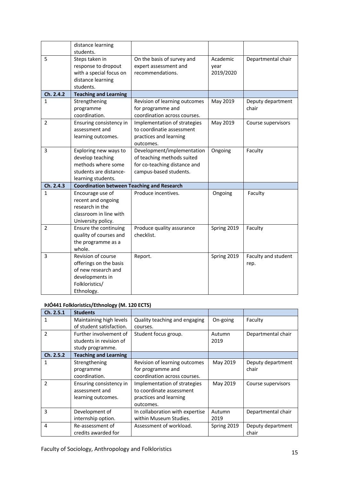|                | distance learning                                                                                                      |                                                                                                                    |                               |                             |
|----------------|------------------------------------------------------------------------------------------------------------------------|--------------------------------------------------------------------------------------------------------------------|-------------------------------|-----------------------------|
| 5              | students.<br>Steps taken in<br>response to dropout<br>with a special focus on<br>distance learning<br>students.        | On the basis of survey and<br>expert assessment and<br>recommendations.                                            | Academic<br>year<br>2019/2020 | Departmental chair          |
| Ch. 2.4.2      | <b>Teaching and Learning</b>                                                                                           |                                                                                                                    |                               |                             |
| $\mathbf{1}$   | Strengthening<br>programme<br>coordination.                                                                            | Revision of learning outcomes<br>for programme and<br>coordination across courses.                                 | May 2019                      | Deputy department<br>chair  |
| $\overline{2}$ | Ensuring consistency in<br>assessment and<br>learning outcomes.                                                        | Implementation of strategies<br>to coordinatie assessment<br>practices and learning<br>outcomes.                   | May 2019                      | Course supervisors          |
| 3              | Exploring new ways to<br>develop teaching<br>methods where some<br>students are distance-<br>learning students.        | Development/implementation<br>of teaching methods suited<br>for co-teaching distance and<br>campus-based students. | Ongoing                       | Faculty                     |
| Ch. 2.4.3      | <b>Coordination between Teaching and Research</b>                                                                      |                                                                                                                    |                               |                             |
| 1              | Encourage use of<br>recent and ongoing<br>research in the<br>classroom in line with<br>University policy.              | Produce incentives.                                                                                                | Ongoing                       | Faculty                     |
| $\overline{2}$ | Ensure the continuing<br>quality of courses and<br>the programme as a<br>whole.                                        | Produce quality assurance<br>checklist.                                                                            | Spring 2019                   | Faculty                     |
| 3              | Revision of course<br>offerings on the basis<br>of new research and<br>developments in<br>Folkloristics/<br>Ethnology. | Report.                                                                                                            | Spring 2019                   | Faculty and student<br>rep. |

## **ÞJÓ441 Folkloristics/Ethnology (M. 120 ECTS)**

| Ch. 2.5.1      | <b>Students</b>              |                                 |             |                    |
|----------------|------------------------------|---------------------------------|-------------|--------------------|
| 1              | Maintaining high levels      | Quality teaching and engaging   | On-going    | Faculty            |
|                | of student satisfaction.     | courses.                        |             |                    |
| $\mathfrak{p}$ | Further involvement of       | Student focus group.            | Autumn      | Departmental chair |
|                | students in revision of      |                                 | 2019        |                    |
|                | study programme.             |                                 |             |                    |
| Ch. 2.5.2      | <b>Teaching and Learning</b> |                                 |             |                    |
| 1              | Strengthening                | Revision of learning outcomes   | May 2019    | Deputy department  |
|                | programme                    | for programme and               |             | chair              |
|                | coordination.                | coordination across courses.    |             |                    |
| $\mathfrak{p}$ | Ensuring consistency in      | Implementation of strategies    | May 2019    | Course supervisors |
|                | assessment and               | to coordinate assessment        |             |                    |
|                | learning outcomes.           | practices and learning          |             |                    |
|                |                              | outcomes.                       |             |                    |
| 3              | Development of               | In collaboration with expertise | Autumn      | Departmental chair |
|                | internship option.           | within Museum Studies.          | 2019        |                    |
| 4              | Re-assessment of             | Assessment of workload.         | Spring 2019 | Deputy department  |
|                | credits awarded for          |                                 |             | chair              |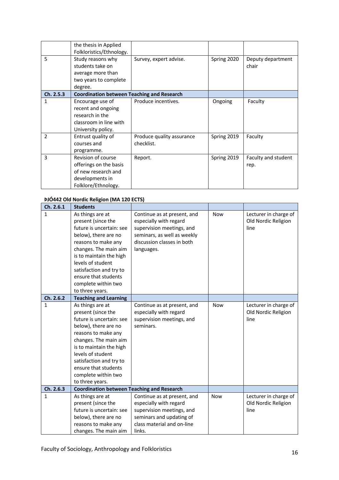|                | the thesis in Applied                             |                           |             |                     |
|----------------|---------------------------------------------------|---------------------------|-------------|---------------------|
|                | Folkloristics/Ethnology.                          |                           |             |                     |
| 5              | Study reasons why                                 | Survey, expert advise.    | Spring 2020 | Deputy department   |
|                | students take on                                  |                           |             | chair               |
|                | average more than                                 |                           |             |                     |
|                | two years to complete                             |                           |             |                     |
|                | degree.                                           |                           |             |                     |
| Ch. 2.5.3      | <b>Coordination between Teaching and Research</b> |                           |             |                     |
| 1              | Encourage use of                                  | Produce incentives.       | Ongoing     | Faculty             |
|                | recent and ongoing                                |                           |             |                     |
|                | research in the                                   |                           |             |                     |
|                | classroom in line with                            |                           |             |                     |
|                | University policy.                                |                           |             |                     |
| $\overline{2}$ | Entrust quality of                                | Produce quality assurance | Spring 2019 | Faculty             |
|                | courses and                                       | checklist.                |             |                     |
|                | programme.                                        |                           |             |                     |
| 3              | Revision of course                                | Report.                   | Spring 2019 | Faculty and student |
|                | offerings on the basis                            |                           |             | rep.                |
|                | of new research and                               |                           |             |                     |
|                | developments in                                   |                           |             |                     |
|                | Folklore/Ethnology.                               |                           |             |                     |

#### **ÞJÓ442 Old Nordic Religion (MA 120 ECTS)**

| Ch. 2.6.1    | <b>Students</b>                                                                                                                                                                                                                                                                         |                                                                                                                                                               |            |                                                      |
|--------------|-----------------------------------------------------------------------------------------------------------------------------------------------------------------------------------------------------------------------------------------------------------------------------------------|---------------------------------------------------------------------------------------------------------------------------------------------------------------|------------|------------------------------------------------------|
| $\mathbf{1}$ | As things are at<br>present (since the<br>future is uncertain: see<br>below), there are no<br>reasons to make any<br>changes. The main aim<br>is to maintain the high<br>levels of student<br>satisfaction and try to<br>ensure that students<br>complete within two<br>to three years. | Continue as at present, and<br>especially with regard<br>supervision meetings, and<br>seminars, as well as weekly<br>discussion classes in both<br>languages. | <b>Now</b> | Lecturer in charge of<br>Old Nordic Religion<br>line |
| Ch. 2.6.2    | <b>Teaching and Learning</b>                                                                                                                                                                                                                                                            |                                                                                                                                                               |            |                                                      |
| $\mathbf{1}$ | As things are at<br>present (since the<br>future is uncertain: see<br>below), there are no<br>reasons to make any<br>changes. The main aim<br>is to maintain the high<br>levels of student<br>satisfaction and try to<br>ensure that students<br>complete within two<br>to three years. | Continue as at present, and<br>especially with regard<br>supervision meetings, and<br>seminars.                                                               | <b>Now</b> | Lecturer in charge of<br>Old Nordic Religion<br>line |
| Ch. 2.6.3    | <b>Coordination between Teaching and Research</b>                                                                                                                                                                                                                                       |                                                                                                                                                               |            |                                                      |
| 1            | As things are at<br>present (since the<br>future is uncertain: see<br>below), there are no<br>reasons to make any<br>changes. The main aim                                                                                                                                              | Continue as at present, and<br>especially with regard<br>supervision meetings, and<br>seminars and updating of<br>class material and on-line<br>links.        | <b>Now</b> | Lecturer in charge of<br>Old Nordic Religion<br>line |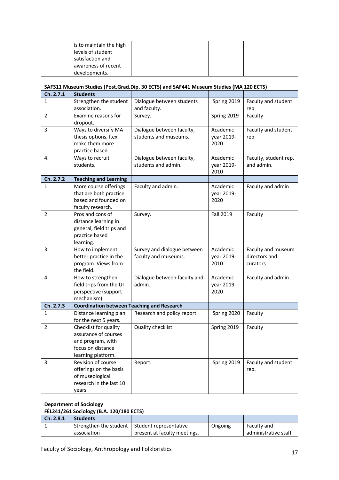| is to maintain the high |  |  |
|-------------------------|--|--|
| levels of student       |  |  |
| satisfaction and        |  |  |
| awareness of recent     |  |  |
| developments.           |  |  |

#### **SAF311 Museum Studies (Post.Grad.Dip. 30 ECTS) and SAF441 Museum Studies (MA 120 ECTS)**

| Ch. 2.7.1      | <b>Students</b>                                   |                              |             |                       |
|----------------|---------------------------------------------------|------------------------------|-------------|-----------------------|
| 1              | Strengthen the student                            | Dialogue between students    | Spring 2019 | Faculty and student   |
|                | association.                                      | and faculty.                 |             | rep                   |
| $\overline{2}$ | Examine reasons for                               | Survey.                      | Spring 2019 | Faculty               |
|                | dropout.                                          |                              |             |                       |
| 3              | Ways to diversify MA                              | Dialogue between faculty,    | Academic    | Faculty and student   |
|                | thesis options, f.ex.                             | students and museums.        | year 2019-  | rep                   |
|                | make them more                                    |                              | 2020        |                       |
|                | practice based.                                   |                              |             |                       |
| 4.             | Ways to recruit                                   | Dialogue between faculty,    | Academic    | Faculty, student rep. |
|                | students.                                         | students and admin.          | year 2019-  | and admin.            |
|                |                                                   |                              | 2010        |                       |
| Ch. 2.7.2      | <b>Teaching and Learning</b>                      |                              |             |                       |
| 1              | More course offerings                             | Faculty and admin.           | Academic    | Faculty and admin     |
|                | that are both practice                            |                              | year 2019-  |                       |
|                | based and founded on<br>faculty research.         |                              | 2020        |                       |
| $\overline{2}$ | Pros and cons of                                  | Survey.                      | Fall 2019   | Faculty               |
|                | distance learning in                              |                              |             |                       |
|                | general, field trips and                          |                              |             |                       |
|                | practice based                                    |                              |             |                       |
|                | learning.                                         |                              |             |                       |
| 3              | How to implement                                  | Survey and dialogue between  | Academic    | Faculty and museum    |
|                | better practice in the                            | faculty and museums.         | year 2019-  | directors and         |
|                | program. Views from                               |                              | 2010        | curators              |
|                | the field.                                        |                              |             |                       |
| 4              | How to strengthen                                 | Dialogue between faculty and | Academic    | Faculty and admin     |
|                | field trips from the UI                           | admin.                       | year 2019-  |                       |
|                | perspective (support                              |                              | 2020        |                       |
|                | mechanism).                                       |                              |             |                       |
| Ch. 2.7.3      | <b>Coordination between Teaching and Research</b> |                              |             |                       |
| 1              | Distance learning plan<br>for the next 5 years.   | Research and policy report.  | Spring 2020 | Faculty               |
| $\overline{2}$ | Checklist for quality                             | Quality checklist.           | Spring 2019 | Faculty               |
|                | assurance of courses                              |                              |             |                       |
|                | and program, with                                 |                              |             |                       |
|                | focus on distance                                 |                              |             |                       |
|                | learning platform.                                |                              |             |                       |
| 3              | Revision of course                                | Report.                      | Spring 2019 | Faculty and student   |
|                | offerings on the basis                            |                              |             | rep.                  |
|                | of museological                                   |                              |             |                       |
|                | research in the last 10                           |                              |             |                       |
|                | years.                                            |                              |             |                       |

#### **Department of Sociology**

#### **FÉL241/261 Sociology (B.A. 120/180 ECTS)**

| Ch. 2.8.1 | <b>Students</b>                                 |                              |         |                      |
|-----------|-------------------------------------------------|------------------------------|---------|----------------------|
|           | Strengthen the student   Student representative |                              | Ongoing | Faculty and          |
|           | association                                     | present at faculty meetings, |         | administrative staff |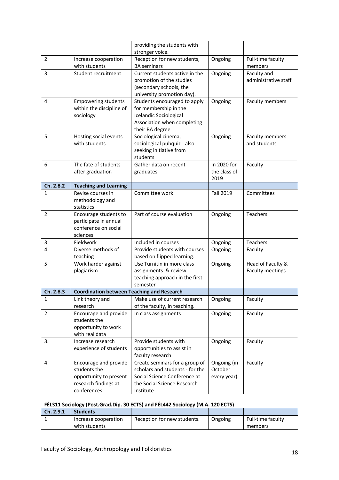|                |                                                                                                        | providing the students with<br>stronger voice.                                                                                                |                                       |                                              |
|----------------|--------------------------------------------------------------------------------------------------------|-----------------------------------------------------------------------------------------------------------------------------------------------|---------------------------------------|----------------------------------------------|
| $\overline{2}$ | Increase cooperation                                                                                   | Reception for new students,                                                                                                                   | Ongoing                               | Full-time faculty                            |
|                | with students                                                                                          | <b>BA</b> seminars                                                                                                                            |                                       | members                                      |
| 3              | Student recruitment                                                                                    | Current students active in the<br>promotion of the studies<br>(secondary schools, the<br>university promotion day).                           | Ongoing                               | Faculty and<br>administrative staff          |
| 4              | <b>Empowering students</b><br>within the discipline of<br>sociology                                    | Students encouraged to apply<br>for membership in the<br>Icelandic Sociological<br>Association when completing<br>their BA degree             | Ongoing                               | Faculty members                              |
| 5              | Hosting social events<br>with students                                                                 | Sociological cinema,<br>sociological pubquiz - also<br>seeking initiative from<br>students                                                    | Ongoing                               | Faculty members<br>and students              |
| 6              | The fate of students<br>after graduation                                                               | Gather data on recent<br>graduates                                                                                                            | In 2020 for<br>the class of<br>2019   | Faculty                                      |
| Ch. 2.8.2      | <b>Teaching and Learning</b>                                                                           |                                                                                                                                               |                                       |                                              |
| 1              | Revise courses in<br>methodology and<br>statistics                                                     | Committee work                                                                                                                                | Fall 2019                             | Committees                                   |
| $\overline{2}$ | Encourage students to<br>participate in annual<br>conference on social<br>sciences                     | Part of course evaluation                                                                                                                     | Ongoing                               | Teachers                                     |
| 3              | Fieldwork                                                                                              | Included in courses                                                                                                                           | Ongoing                               | Teachers                                     |
| 4              | Diverse methods of<br>teaching                                                                         | Provide students with courses<br>based on flipped learning.                                                                                   | Ongoing                               | Faculty                                      |
| 5              | Work harder against<br>plagiarism                                                                      | Use Turnitin in more class<br>assignments & review<br>teaching approach in the first<br>semester                                              | Ongoing                               | Head of Faculty &<br><b>Faculty meetings</b> |
| Ch. 2.8.3      | <b>Coordination between Teaching and Research</b>                                                      |                                                                                                                                               |                                       |                                              |
| 1              | Link theory and<br>research                                                                            | Make use of current research<br>of the faculty, in teaching.                                                                                  | Ongoing                               | Faculty                                      |
| $\overline{2}$ | Encourage and provide<br>students the<br>opportunity to work<br>with real data                         | In class assignments                                                                                                                          | Ongoing                               | Faculty                                      |
| 3.             | Increase research<br>experience of students                                                            | Provide students with<br>opportunities to assist in<br>faculty research                                                                       | Ongoing                               | Faculty                                      |
| 4              | Encourage and provide<br>students the<br>opportunity to present<br>research findings at<br>conferences | Create seminars for a group of<br>scholars and students - for the<br>Social Science Conference at<br>the Social Science Research<br>Institute | Ongoing (in<br>October<br>every year) | Faculty                                      |

## **FÉL311 Sociology (Post.Grad.Dip. 30 ECTS) and FÉL442 Sociology (M.A. 120 ECTS)**

| Ch. 2.9.1 | <b>Students</b>      |                             |         |                   |
|-----------|----------------------|-----------------------------|---------|-------------------|
|           | Increase cooperation | Reception for new students. | Ongoing | Full-time faculty |
|           | with students        |                             |         | members           |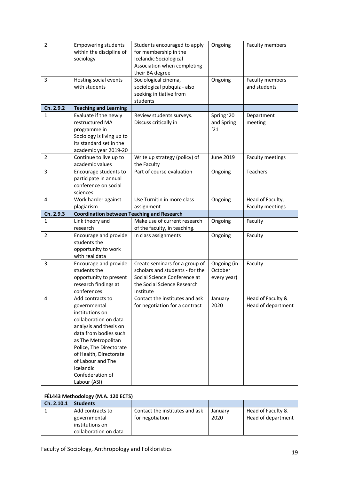| $\overline{2}$<br>3 | <b>Empowering students</b><br>within the discipline of<br>sociology<br>Hosting social events<br>with students                                                                                                                                                                     | Students encouraged to apply<br>for membership in the<br>Icelandic Sociological<br>Association when completing<br>their BA degree<br>Sociological cinema,<br>sociological pubquiz - also<br>seeking initiative from | Ongoing<br>Ongoing                    | Faculty members<br>Faculty members<br>and students |
|---------------------|-----------------------------------------------------------------------------------------------------------------------------------------------------------------------------------------------------------------------------------------------------------------------------------|---------------------------------------------------------------------------------------------------------------------------------------------------------------------------------------------------------------------|---------------------------------------|----------------------------------------------------|
| Ch. 2.9.2           |                                                                                                                                                                                                                                                                                   | students                                                                                                                                                                                                            |                                       |                                                    |
| $\mathbf{1}$        | <b>Teaching and Learning</b><br>Evaluate if the newly<br>restructured MA<br>programme in<br>Sociology is living up to<br>its standard set in the<br>academic year 2019-20                                                                                                         | Review students surveys.<br>Discuss critically in                                                                                                                                                                   | Spring '20<br>and Spring<br>'21       | Department<br>meeting                              |
| $\overline{2}$      | Continue to live up to<br>academic values                                                                                                                                                                                                                                         | Write up strategy (policy) of<br>the Faculty                                                                                                                                                                        | June 2019                             | Faculty meetings                                   |
| 3                   | Encourage students to<br>participate in annual<br>conference on social<br>sciences                                                                                                                                                                                                | Part of course evaluation                                                                                                                                                                                           | Ongoing                               | Teachers                                           |
| 4                   | Work harder against                                                                                                                                                                                                                                                               | Use Turnitin in more class                                                                                                                                                                                          | Ongoing                               | Head of Faculty,                                   |
| Ch. 2.9.3           | plagiarism<br><b>Coordination between Teaching and Research</b>                                                                                                                                                                                                                   | assignment                                                                                                                                                                                                          |                                       | Faculty meetings                                   |
| $\mathbf{1}$        | Link theory and                                                                                                                                                                                                                                                                   | Make use of current research                                                                                                                                                                                        | Ongoing                               | Faculty                                            |
|                     | research                                                                                                                                                                                                                                                                          | of the faculty, in teaching.                                                                                                                                                                                        |                                       |                                                    |
| $\overline{2}$      | Encourage and provide<br>students the<br>opportunity to work<br>with real data                                                                                                                                                                                                    | In class assignments                                                                                                                                                                                                | Ongoing                               | Faculty                                            |
| 3                   | Encourage and provide<br>students the<br>opportunity to present<br>research findings at<br>conferences                                                                                                                                                                            | Create seminars for a group of<br>scholars and students - for the<br>Social Science Conference at<br>the Social Science Research<br>Institute                                                                       | Ongoing (in<br>October<br>every year) | Faculty                                            |
| 4                   | Add contracts to<br>governmental<br>institutions on<br>collaboration on data<br>analysis and thesis on<br>data from bodies such<br>as The Metropolitan<br>Police, The Directorate<br>of Health, Directorate<br>of Labour and The<br>Icelandic<br>Confederation of<br>Labour (ASI) | Contact the institutes and ask<br>for negotiation for a contract                                                                                                                                                    | January<br>2020                       | Head of Faculty &<br>Head of department            |

#### **FÉL443 Methodology (M.A. 120 ECTS)**

| Ch. 2.10.1 | <b>Students</b>       |                                |         |                    |
|------------|-----------------------|--------------------------------|---------|--------------------|
|            | Add contracts to      | Contact the institutes and ask | January | Head of Faculty &  |
|            | governmental          | for negotiation                | 2020    | Head of department |
|            | institutions on       |                                |         |                    |
|            | collaboration on data |                                |         |                    |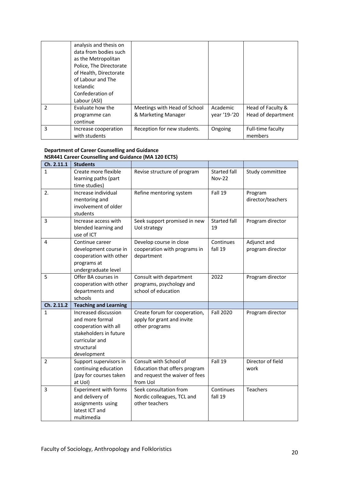|               | analysis and thesis on<br>data from bodies such<br>as the Metropolitan<br>Police, The Directorate<br>of Health, Directorate<br>of Labour and The<br><b>Icelandic</b><br>Confederation of<br>Labour (ASI) |                                                     |                          |                                         |
|---------------|----------------------------------------------------------------------------------------------------------------------------------------------------------------------------------------------------------|-----------------------------------------------------|--------------------------|-----------------------------------------|
| $\mathcal{P}$ | Evaluate how the<br>programme can<br>continue                                                                                                                                                            | Meetings with Head of School<br>& Marketing Manager | Academic<br>year '19-'20 | Head of Faculty &<br>Head of department |
| 3             | Increase cooperation<br>with students                                                                                                                                                                    | Reception for new students.                         | Ongoing                  | Full-time faculty<br>members            |

#### **Department of Career Counselling and Guidance NSR441 Career Counselling and Guidance (MA 120 ECTS)**

| Ch. 2.11.1   | <b>Students</b>                                                                                                                          |                                                                                                       |                                      |                                 |
|--------------|------------------------------------------------------------------------------------------------------------------------------------------|-------------------------------------------------------------------------------------------------------|--------------------------------------|---------------------------------|
| 1            | Create more flexible<br>learning paths (part<br>time studies)                                                                            | Revise structure of program                                                                           | <b>Started fall</b><br><b>Nov-22</b> | Study committee                 |
| 2.           | Increase individual<br>mentoring and<br>involvement of older<br>students                                                                 | Refine mentoring system                                                                               | Fall 19                              | Program<br>director/teachers    |
| 3            | Increase access with<br>blended learning and<br>use of ICT                                                                               | Seek support promised in new<br>Uol strategy                                                          | <b>Started fall</b><br>19            | Program director                |
| 4            | Continue career<br>development course in<br>cooperation with other<br>programs at<br>undergraduate level                                 | Develop course in close<br>cooperation with programs in<br>department                                 | Continues<br>fall 19                 | Adjunct and<br>program director |
| 5            | Offer BA courses in<br>cooperation with other<br>departments and<br>schools                                                              | Consult with department<br>programs, psychology and<br>school of education                            | 2022                                 | Program director                |
| Ch. 2.11.2   | <b>Teaching and Learning</b>                                                                                                             |                                                                                                       |                                      |                                 |
| $\mathbf{1}$ | Increased discussion<br>and more formal<br>cooperation with all<br>stakeholders in future<br>curricular and<br>structural<br>development | Create forum for cooperation,<br>apply for grant and invite<br>other programs                         | <b>Fall 2020</b>                     | Program director                |
| 2            | Support supervisors in<br>continuing education<br>(pay for courses taken<br>at Uol)                                                      | Consult with School of<br>Education that offers program<br>and request the waiver of fees<br>from Uol | Fall 19                              | Director of field<br>work       |
| 3            | <b>Experiment with forms</b><br>and delivery of<br>assignments using<br>latest ICT and<br>multimedia                                     | Seek consultation from<br>Nordic colleagues, TCL and<br>other teachers                                | Continues<br>fall 19                 | <b>Teachers</b>                 |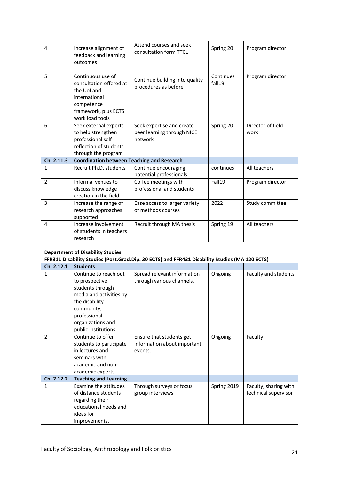| 4              | Increase alignment of<br>feedback and learning<br>outcomes                                                                            | Attend courses and seek<br>consultation form TTCL                  | Spring 20           | Program director          |
|----------------|---------------------------------------------------------------------------------------------------------------------------------------|--------------------------------------------------------------------|---------------------|---------------------------|
| 5              | Continuous use of<br>consultation offered at<br>the UoI and<br>international<br>competence<br>framework, plus ECTS<br>work load tools | Continue building into quality<br>procedures as before             | Continues<br>fall19 | Program director          |
| 6              | Seek external experts<br>to help strengthen<br>professional self-<br>reflection of students<br>through the program                    | Seek expertise and create<br>peer learning through NICE<br>network | Spring 20           | Director of field<br>work |
| Ch. 2.11.3     | <b>Coordination between Teaching and Research</b>                                                                                     |                                                                    |                     |                           |
| $\mathbf{1}$   | Recruit Ph.D. students                                                                                                                | Continue encouraging<br>potential professionals                    | continues           | All teachers              |
| $\overline{2}$ | Informal venues to<br>discuss knowledge<br>creation in the field                                                                      | Coffee meetings with<br>professional and students                  | Fall19              | Program director          |
| 3              | Increase the range of<br>research approaches<br>supported                                                                             | Ease access to larger variety<br>of methods courses                | 2022                | Study committee           |
| 4              | Increase involvement<br>of students in teachers<br>research                                                                           | Recruit through MA thesis                                          | Spring 19           | All teachers              |

#### **Department of Disability Studies**

#### **FFR311 Disability Studies (Post.Grad.Dip. 30 ECTS) and FFR431 Disability Studies (MA 120 ECTS)**

| Ch. 2.12.1     | <b>Students</b>              |                             |             |                       |
|----------------|------------------------------|-----------------------------|-------------|-----------------------|
| 1              | Continue to reach out        | Spread relevant information | Ongoing     | Faculty and students  |
|                | to prospective               | through various channels.   |             |                       |
|                | students through             |                             |             |                       |
|                | media and activities by      |                             |             |                       |
|                | the disability               |                             |             |                       |
|                | community,                   |                             |             |                       |
|                | professional                 |                             |             |                       |
|                | organizations and            |                             |             |                       |
|                | public institutions.         |                             |             |                       |
| $\overline{2}$ | Continue to offer            | Ensure that students get    | Ongoing     | Faculty               |
|                | students to participate      | information about important |             |                       |
|                | in lectures and              | events.                     |             |                       |
|                | seminars with                |                             |             |                       |
|                | academic and non-            |                             |             |                       |
|                | academic experts.            |                             |             |                       |
| Ch. 2.12.2     | <b>Teaching and Learning</b> |                             |             |                       |
| 1              | Examine the attitudes        | Through surveys or focus    | Spring 2019 | Faculty, sharing with |
|                | of distance students         | group interviews.           |             | technical supervisor  |
|                | regarding their              |                             |             |                       |
|                | educational needs and        |                             |             |                       |
|                | ideas for                    |                             |             |                       |
|                | improvements.                |                             |             |                       |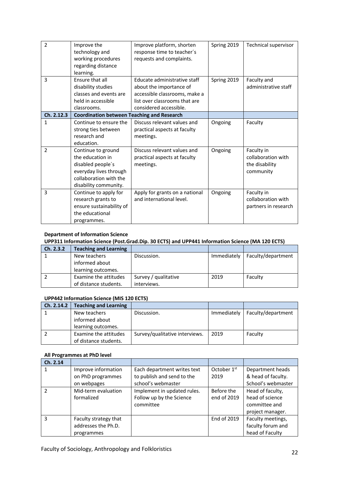| $\mathfrak{p}$ | Improve the<br>technology and<br>working procedures<br>regarding distance<br>learning.                                                   | Improve platform, shorten<br>response time to teacher's<br>requests and complaints.                                                                 | Spring 2019 | Technical supervisor                                            |
|----------------|------------------------------------------------------------------------------------------------------------------------------------------|-----------------------------------------------------------------------------------------------------------------------------------------------------|-------------|-----------------------------------------------------------------|
| 3              | Ensure that all<br>disability studies<br>classes and events are<br>held in accessible<br>classrooms.                                     | Educate administrative staff<br>about the importance of<br>accessible classrooms, make a<br>list over classrooms that are<br>considered accessible. | Spring 2019 | Faculty and<br>administrative staff                             |
| Ch. 2.12.3     | <b>Coordination between Teaching and Research</b>                                                                                        |                                                                                                                                                     |             |                                                                 |
| $\mathbf{1}$   | Continue to ensure the<br>strong ties between<br>research and<br>education.                                                              | Discuss relevant values and<br>practical aspects at faculty<br>meetings.                                                                            | Ongoing     | Faculty                                                         |
| $\mathcal{P}$  | Continue to ground<br>the education in<br>disabled people's<br>everyday lives through<br>collaboration with the<br>disability community. | Discuss relevant values and<br>practical aspects at faculty<br>meetings.                                                                            | Ongoing     | Faculty in<br>collaboration with<br>the disability<br>community |
| 3              | Continue to apply for<br>research grants to<br>ensure sustainability of<br>the educational<br>programmes.                                | Apply for grants on a national<br>and international level.                                                                                          | Ongoing     | Faculty in<br>collaboration with<br>partners in research        |

## **Department of Information Science**

#### **UPP311 Information Science (Post.Grad.Dip. 30 ECTS) and UPP441 Information Science (MA 120 ECTS)**

| Ch. 2.3.2 | <b>Teaching and Learning</b> |                      |             |                    |
|-----------|------------------------------|----------------------|-------------|--------------------|
|           | New teachers                 | Discussion.          | Immediately | Faculty/department |
|           | informed about               |                      |             |                    |
|           | learning outcomes.           |                      |             |                    |
|           | Examine the attitudes        | Survey / qualitative | 2019        | Faculty            |
|           | of distance students.        | interviews.          |             |                    |

#### **UPP442 Information Science (MIS 120 ECTS)**

| Ch. 2.14.2 | <b>Teaching and Learning</b> |                                |             |                    |
|------------|------------------------------|--------------------------------|-------------|--------------------|
|            | New teachers                 | Discussion.                    | Immediately | Faculty/department |
|            | informed about               |                                |             |                    |
|            | learning outcomes.           |                                |             |                    |
|            | Examine the attitudes        | Survey/qualitative interviews. | 2019        | Faculty            |
|            | of distance students.        |                                |             |                    |

#### **All Programmes at PhD level**

| Ch. 2.14      |                       |                             |                         |                    |
|---------------|-----------------------|-----------------------------|-------------------------|--------------------|
| 1             | Improve information   | Each department writes text | October 1 <sup>st</sup> | Department heads   |
|               | on PhD programmes     | to publish and send to the  | 2019                    | & head of faculty. |
|               | on webpages           | school's webmaster          |                         | School's webmaster |
| $\mathcal{P}$ | Mid-term evaluation   | Implement in updated rules. | Before the              | Head of faculty,   |
|               | formalized            | Follow up by the Science    | end of 2019             | head of science    |
|               |                       | committee                   |                         | committee and      |
|               |                       |                             |                         | project manager.   |
| 3             | Faculty strategy that |                             | End of 2019             | Faculty meetings,  |
|               | addresses the Ph.D.   |                             |                         | faculty forum and  |
|               | programmes            |                             |                         | head of Faculty    |